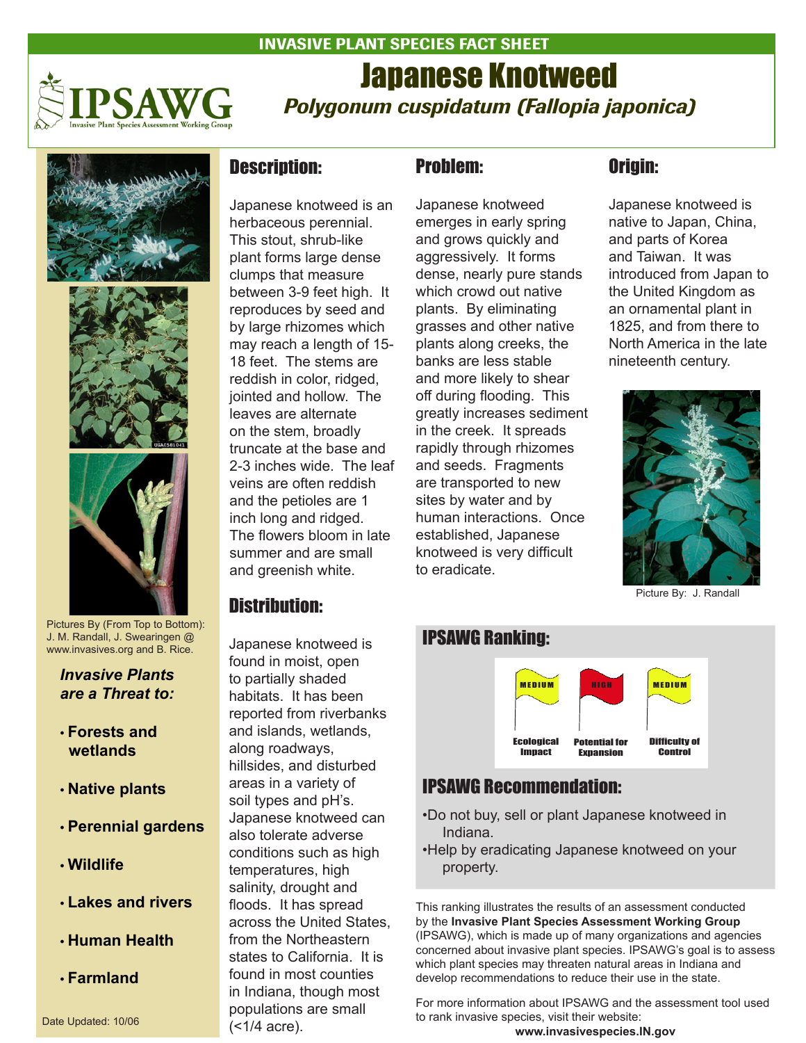

# Japanese Knotweed *Polygonum cuspidatum (Fallopia japonica)*







Pictures By (From Top to Bottom): J. M. Randall, J. Swearingen @ www.invasives.org and B. Rice.

*Invasive Plants are a Threat to:*

- **Forests and wetlands**
- **Native plants**
- **Perennial gardens**
- **Wildlife**
- **Lakes and rivers**
- **Human Health**
- **Farmland**

#### Date Updated: 10/06

### Description:

Japanese knotweed is an herbaceous perennial. This stout, shrub-like plant forms large dense clumps that measure between 3-9 feet high. It reproduces by seed and by large rhizomes which may reach a length of 15- 18 feet. The stems are reddish in color, ridged, jointed and hollow. The leaves are alternate on the stem, broadly truncate at the base and 2-3 inches wide. The leaf veins are often reddish and the petioles are 1 inch long and ridged. The flowers bloom in late summer and are small and greenish white.

#### Distribution:

Japanese knotweed is found in moist, open to partially shaded habitats. It has been reported from riverbanks and islands, wetlands, along roadways, hillsides, and disturbed areas in a variety of soil types and pH's. Japanese knotweed can also tolerate adverse conditions such as high temperatures, high salinity, drought and floods. It has spread across the United States, from the Northeastern states to California. It is found in most counties in Indiana, though most populations are small (<1/4 acre).

# Problem:

INVASIVE PLANT SPECIES FACT SHEET

Japanese knotweed emerges in early spring and grows quickly and aggressively. It forms dense, nearly pure stands which crowd out native plants. By eliminating grasses and other native plants along creeks, the banks are less stable and more likely to shear off during flooding. This greatly increases sediment in the creek. It spreads rapidly through rhizomes and seeds. Fragments are transported to new sites by water and by human interactions. Once established, Japanese knotweed is very difficult to eradicate.

### Origin:

Japanese knotweed is native to Japan, China, and parts of Korea and Taiwan. It was introduced from Japan to the United Kingdom as an ornamental plant in 1825, and from there to North America in the late nineteenth century.



Picture By: J. Randall



## IPSAWG Recommendation:

- •Do not buy, sell or plant Japanese knotweed in Indiana.
- •Help by eradicating Japanese knotweed on your property.

This ranking illustrates the results of an assessment conducted by the **Invasive Plant Species Assessment Working Group** (IPSAWG), which is made up of many organizations and agencies concerned about invasive plant species. IPSAWG's goal is to assess which plant species may threaten natural areas in Indiana and develop recommendations to reduce their use in the state.

For more information about IPSAWG and the assessment tool used to rank invasive species, visit their website: **www.invasivespecies.IN.gov**